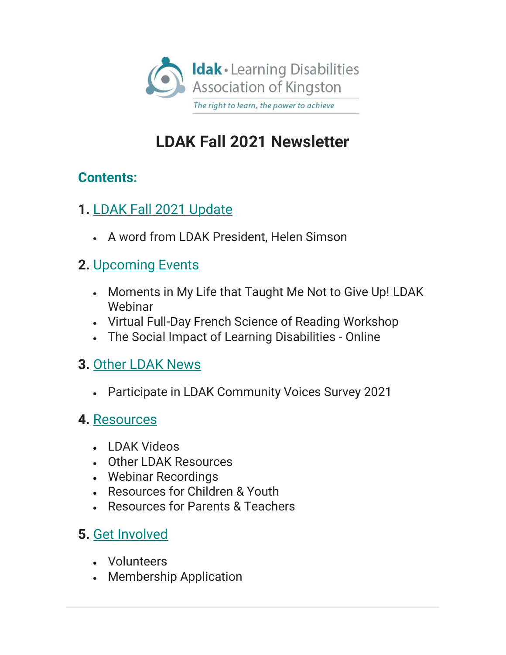

# **LDAK Fall 2021 Newsletter**

## **Contents:**

- **1.** [LDAK Fall 2021 Update](https://mailchi.mp/2265b2933195/ldak-fall-2021-newsletter?e=c35353fdc7%23LDAKUpdate)
	- A word from LDAK President, Helen Simson

## **2.** [Upcoming Events](https://mailchi.mp/2265b2933195/ldak-fall-2021-newsletter?e=c35353fdc7%23UpcomingEvents)

- Moments in My Life that Taught Me Not to Give Up! LDAK Webinar
- Virtual Full-Day French Science of Reading Workshop
- The Social Impact of Learning Disabilities Online

## **3.** Other [LDAK News](https://mailchi.mp/2265b2933195/ldak-fall-2021-newsletter?e=c35353fdc7%23OtherLDAKNews)

**• Participate in LDAK Community Voices Survey 2021** 

### **4.** [Resources](https://mailchi.mp/2265b2933195/ldak-fall-2021-newsletter?e=c35353fdc7%23Resources)

- <sup>x</sup> LDAK Videos
- <sup>x</sup> Other LDAK Resources
- Webinar Recordings
- <sup>x</sup> Resources for Children & Youth
- <sup>x</sup> Resources for Parents & Teachers

# **5.** [Get Involved](https://mailchi.mp/2265b2933195/ldak-fall-2021-newsletter?e=c35353fdc7%23GetInvolved)

- <sup>x</sup> Volunteers
- Membership Application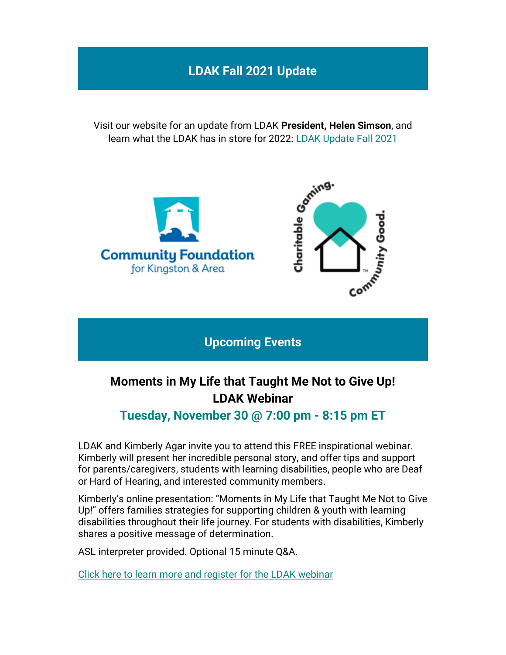### **LDAK Fall 2021 Update**

Visit our website for an update from LDAK **President, Helen Simson**, and learn what the LDAK has in store for 2022: [LDAK Update Fall 2021](https://www.ldakingston.com/post/ldak-update-fall-2021)



**Upcoming Events**

# **Moments in My Life that Taught Me Not to Give Up! LDAK Webinar**

#### **Tuesday, November 30 @ 7:00 pm - 8:15 pm ET**

LDAK and Kimberly Agar invite you to attend this FREE inspirational webinar. Kimberly will present her incredible personal story, and offer tips and support for parents/caregivers, students with learning disabilities, people who are Deaf or Hard of Hearing, and interested community members.

Kimberly's online presentation: "Moments in My Life that Taught Me Not to Give Up!" offers families strategies for supporting children & youth with learning disabilities throughout their life journey. For students with disabilities, Kimberly shares a positive message of determination.

ASL interpreter provided. Optional 15 minute Q&A.

[Click here to learn more and register for the LDAK webinar](https://www.eventbrite.ca/e/moments-in-my-life-that-taught-me-not-to-give-up-free-webinar-registration-203189744997)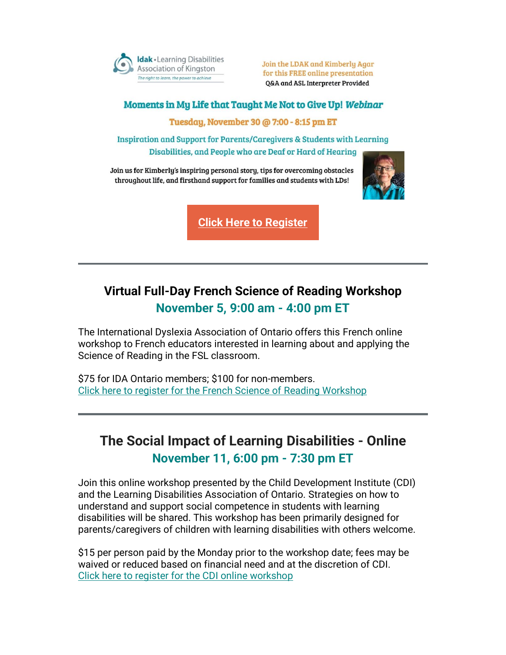

Join the LDAK and Kimberly Agar for this FREE online presentation Q&A and ASL Interpreter Provided

#### Moments in My Life that Taught Me Not to Give Up! Webinar

Tuesday, November 30 @ 7:00 - 8:15 pm ET

**Inspiration and Support for Parents/Caregivers & Students with Learning** Disabilities, and People who are Deaf or Hard of Hearing

Join us for Kimberly's inspiring personal story, tips for overcoming obstacles throughout life, and firsthand support for families and students with LDs!



**[Click Here to Register](https://www.eventbrite.ca/e/moments-in-my-life-that-taught-me-not-to-give-up-free-webinar-registration-203189744997)**

### **Virtual Full-Day French Science of Reading Workshop November 5, 9:00 am - 4:00 pm ET**

The International Dyslexia Association of Ontario offers this French online workshop to French educators interested in learning about and applying the Science of Reading in the FSL classroom.

\$75 for IDA Ontario members; \$100 for non-members. [Click here to register for the French Science of Reading Workshop](https://www.idaontario.com/french-science-of-reading-workshop/)

### **The Social Impact of Learning Disabilities - Online November 11, 6:00 pm - 7:30 pm ET**

Join this online workshop presented by the Child Development Institute (CDI) and the Learning Disabilities Association of Ontario. Strategies on how to understand and support social competence in students with learning disabilities will be shared. This workshop has been primarily designed for parents/caregivers of children with learning disabilities with others welcome.

\$15 per person paid by the Monday prior to the workshop date; fees may be waived or reduced based on financial need and at the discretion of CDI. [Click here to register for](https://www.ldao.ca/event/the-social-impact-of-learning-disabilities-online/) [the](https://www.ldao.ca/event/the-social-impact-of-learning-disabilities-online/) CDI [online workshop](https://www.ldao.ca/event/the-social-impact-of-learning-disabilities-online/)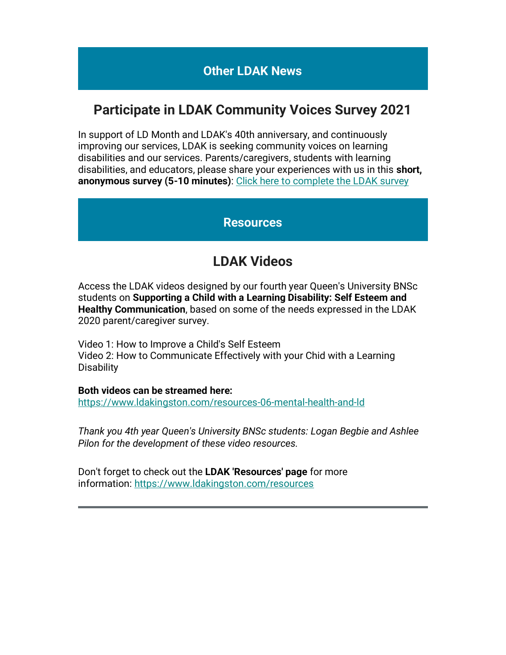#### **Other LDAK News**

#### **Participate in LDAK Community Voices Survey 2021**

In support of LD Month and LDAK's 40th anniversary, and continuously improving our services, LDAK is seeking community voices on learning disabilities and our services. Parents/caregivers, students with learning disabilities, and educators, please share your experiences with us in this **short,**  anonymous survey (5-10 minutes): [Click here to complete the LDAK survey](http://buff.ly/3lEJuXr)

#### **Resources**

### **LDAK Videos**

Access the LDAK videos designed by our fourth year Queen's University BNSc students on **Supporting a Child with a Learning Disability: Self Esteem and Healthy Communication**, based on some of the needs expressed in the LDAK 2020 parent/caregiver survey.

Video 1: How to Improve a Child's Self Esteem Video 2: How to Communicate Effectively with your Chid with a Learning **Disability** 

**Both videos can be streamed here:**

<https://www.ldakingston.com/resources-06-mental-health-and-ld>

*Thank you 4th year Queen's University BNSc students: Logan Begbie and Ashlee Pilon for the development of these video resources.*

Don't forget to check out the **LDAK 'Resources' page** for more information: <https://www.ldakingston.com/resources>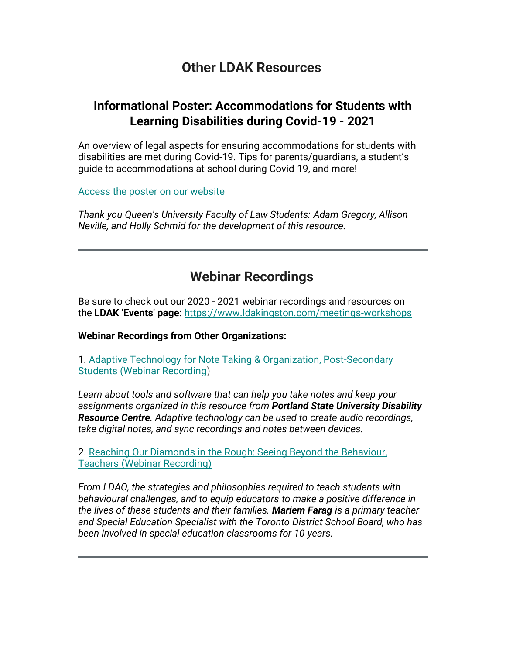#### **Other LDAK Resources**

#### **Informational Poster: Accommodations for Students with Learning Disabilities during Covid-19 - 2021**

An overview of legal aspects for ensuring accommodations for students with disabilities are met during Covid-19. Tips for parents/quardians, a student's guide to accommodations at school during Covid-19, and more!

[Access the poster on our website](https://www.ldakingston.com/post/informational-poster-accommodations-for-students-with-learning-disabilities-during-covid-19-2021)

*Thank you Queen's University Faculty of Law Students: Adam Gregory, Allison Neville, and Holly Schmid for the development of this resource.*

### **Webinar Recordings**

Be sure to check out our 2020 - 2021 webinar recordings and resources on the **LDAK 'Events' page**: <https://www.ldakingston.com/meetings-workshops>

**Webinar Recordings from Other Organizations:**

1. [Adaptive Technology for Note Taking & Organization, Post-Secondary](https://www.pdx.edu/disability-resource-center/adaptive-technology-note-taking-organization)  Students [\(Webinar Recording\)](https://www.pdx.edu/disability-resource-center/adaptive-technology-note-taking-organization)

*Learn about tools and software that can help you take notes and keep your assignments organized in this resource from Portland State University Disability Resource Centre. Adaptive technology can be used to create audio recordings, take digital notes, and sync recordings and notes between devices.*

2. [Reaching Our Diamonds in the Rough: Seeing Beyond the Behaviour,](https://www.ldatschool.ca/webinar-seeing-beyond-behavior/)  [Teachers \(Webinar Recording\)](https://www.ldatschool.ca/webinar-seeing-beyond-behavior/)

*From LDAO, the strategies and philosophies required to teach students with behavioural challenges, and to equip educators to make a positive difference in the lives of these students and their families. Mariem Farag is a primary teacher and Special Education Specialist with the Toronto District School Board, who has been involved in special education classrooms for 10 years.*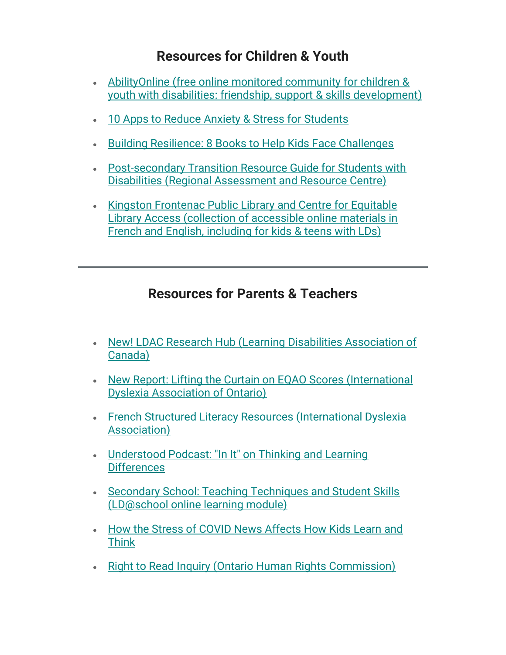### **Resources for Children & Youth**

- x [AbilityOnline \(free online monitored community for children &](https://abilityonline.org/public/about-us/how-we-are-different)  [youth with disabilities: friendship, support & skills development\)](https://abilityonline.org/public/about-us/how-we-are-different)
- [10 Apps to Reduce Anxiety & Stress for](https://www.weareteachers.com/stress-apps/) Students
- x [Building Resilience: 8 Books to Help Kids Face Challenges](https://www.understood.org/articles/en/childrens-books-that-build-resilience)
- Post-secondary Transition Resource Guide for Students with [Disabilities \(Regional Assessment and Resource Centre\)](https://www.transitionresourceguide.ca/resources/accessibility-services)
- Kingston Frontenac Public Library and Centre for Equitable [Library Access \(collection](https://www.ldakingston.com/post/kingston-frontenac-public-library-and-centre-for-equitable-library-access-cela-resources) of accessible online materials in French and English, [including for kids & teens with LDs\)](https://www.ldakingston.com/post/kingston-frontenac-public-library-and-centre-for-equitable-library-access-cela-resources)

### **Resources for Parents & Teachers**

- x [New! LDAC Research Hub \(Learning Disabilities Association of](https://www.ldac-acta.ca/ldac-research-hub/)  [Canada\)](https://www.ldac-acta.ca/ldac-research-hub/)
- [New Report: Lifting the Curtain on EQAO Scores](https://www.idaontario.com/new-report-lifting-the-curtain-on-eqao-scores/) (International [Dyslexia Association of Ontario\)](https://www.idaontario.com/new-report-lifting-the-curtain-on-eqao-scores/)
- **Erench Structured Literacy Resources (International Dyslexia** [Association\)](https://www.idaontario.com/french-sl-resources/)
- Understood Podcast: "In It" on Thinking and Learning **[Differences](https://www.understood.org/articles/en/understood-launches-new-podcast-network-with-three-podcasts?_sp=ba7f1503-a3e0-4743-9148-4d8b56c672e4.1633036430648)**
- Secondary School: Teaching Techniques and Student Skills [\(LD@school online learning module\)](https://www.ldatschool.ca/learning-modules/secondary-school-2/overview/)
- How the Stress of COVID News Affects How Kids Learn and [Think](https://www.understood.org/articles/en/how-covid-news-stress-affects-kids)
- [Right to Read Inquiry \(Ontario Human Rights Commission\)](http://www.ohrc.on.ca/en/right-read-public-inquiry-on-reading-disabilities)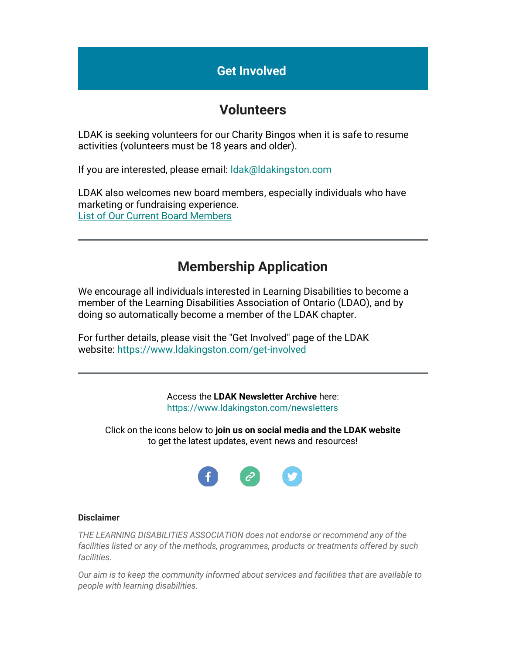#### **Get Involved**

#### **Volunteers**

LDAK is seeking volunteers for our Charity Bingos when it is safe to resume activities (volunteers must be 18 years and older).

If you are interested, please email: [ldak@ldakingston.com](http://ldak@ldakingston.com/)

LDAK also welcomes new board members, especially individuals who have marketing or fundraising experience. [List of Our Current Board Members](https://www.ldakingston.com/about-ldak)

### **Membership Application**

We encourage all individuals interested in Learning Disabilities to become a member of the Learning Disabilities Association of Ontario (LDAO), and by doing so automatically become a member of the LDAK chapter.

For further details, please visit the "Get Involved" page of the LDAK website: <https://www.ldakingston.com/get-involved>

> Access the **LDAK Newsletter Archive** here: <https://www.ldakingston.com/newsletters>

Click on the icons below to **join us on social media and the LDAK website** to get the latest updates, event news and resources!



#### **Disclaimer**

*THE LEARNING DISABILITIES ASSOCIATION does not endorse or recommend any of the facilities listed or any of the methods, programmes, products or treatments offered by such facilities.*

*Our aim is to keep the community informed about services and facilities that are available to people with learning disabilities.*